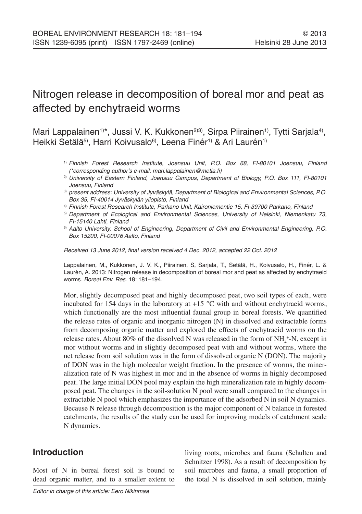# Nitrogen release in decomposition of boreal mor and peat as affected by enchytraeid worms

Mari Lappalainen<sup>1)\*</sup>, Jussi V. K. Kukkonen<sup>2)3)</sup>, Sirpa Piirainen<sup>1)</sup>, Tytti Sarjala<sup>4)</sup>, Heikki Setälä<sup>5)</sup>, Harri Koivusalo<sup>6)</sup>, Leena Finér<sup>1)</sup> & Ari Laurén<sup>1)</sup>

- 1) Finnish Forest Research Institute, Joensuu Unit, P.O. Box 68, FI-80101 Joensuu, Finland (\*corresponding author's e-mail: mari.lappalainen@metla.fi)
- <sup>2)</sup> University of Eastern Finland, Joensuu Campus, Department of Biology, P.O. Box 111, FI-80101 Joensuu, Finland
- 3) present address: University of Jyväskylä, Department of Biological and Environmental Sciences, P.O. Box 35, FI-40014 Jyväskylän yliopisto, Finland
- 4) Finnish Forest Research Institute, Parkano Unit, Kaironiementie 15, FI-39700 Parkano, Finland
- <sup>5)</sup> Department of Ecological and Environmental Sciences, University of Helsinki, Niemenkatu 73, FI-15140 Lahti, Finland
- <sup>6)</sup> Aalto University, School of Engineering, Department of Civil and Environmental Engineering, P.O. Box 15200, FI-00076 Aalto, Finland

Received 13 June 2012, final version received 4 Dec. 2012, accepted 22 Oct. 2012

Lappalainen, M., Kukkonen, J. V. K., Piirainen, S, Sarjala, T., Setälä, H., Koivusalo, H., Finér, L. & Laurén, A. 2013: Nitrogen release in decomposition of boreal mor and peat as affected by enchytraeid worms. Boreal Env. Res. 18: 181–194.

Mor, slightly decomposed peat and highly decomposed peat, two soil types of each, were incubated for 154 days in the laboratory at  $+15$  °C with and without enchytraeid worms, which functionally are the most influential faunal group in boreal forests. We quantified the release rates of organic and inorganic nitrogen (N) in dissolved and extractable forms from decomposing organic matter and explored the effects of enchytraeid worms on the release rates. About 80% of the dissolved N was released in the form of  $NH_4^{\,+}N$ , except in mor without worms and in slightly decomposed peat with and without worms, where the net release from soil solution was in the form of dissolved organic N (DON). The majority of DON was in the high molecular weight fraction. In the presence of worms, the mineralization rate of N was highest in mor and in the absence of worms in highly decomposed peat. The large initial DON pool may explain the high mineralization rate in highly decomposed peat. The changes in the soil-solution N pool were small compared to the changes in extractable N pool which emphasizes the importance of the adsorbed N in soil N dynamics. Because N release through decomposition is the major component of N balance in forested catchments, the results of the study can be used for improving models of catchment scale N dynamics.

# **Introduction**

Most of N in boreal forest soil is bound to dead organic matter, and to a smaller extent to

Editor in charge of this article: Eero Nikinmaa

living roots, microbes and fauna (Schulten and Schnitzer 1998). As a result of decomposition by soil microbes and fauna, a small proportion of the total N is dissolved in soil solution, mainly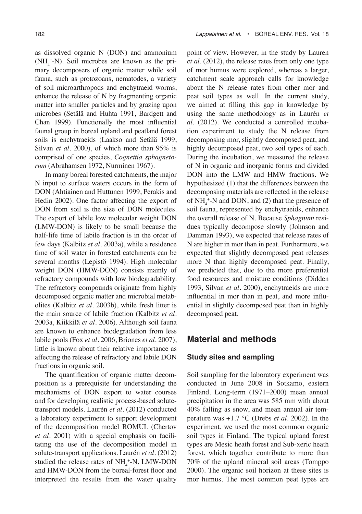as dissolved organic N (DON) and ammonium  $(NH_4^+N)$ . Soil microbes are known as the primary decomposers of organic matter while soil fauna, such as protozoans, nematodes, a variety of soil microarthropods and enchytraeid worms, enhance the release of N by fragmenting organic matter into smaller particles and by grazing upon microbes (Setälä and Huhta 1991, Bardgett and Chan 1999). Functionally the most influential faunal group in boreal upland and peatland forest soils is enchytraeids (Laakso and Setälä 1999, Silvan *et al.* 2000), of which more than 95% is comprised of one species, *Cognettia sphagnetorum* (Abrahamsen 1972, Nurminen 1967).

In many boreal forested catchments, the major N input to surface waters occurs in the form of DON (Ahtiainen and Huttunen 1999, Perakis and Hedin 2002). One factor affecting the export of DON from soil is the size of DON molecules. The export of labile low molecular weight DON (LMW-DON) is likely to be small because the half-life time of labile fraction is in the order of few days (Kalbitz *et al.* 2003a), while a residence time of soil water in forested catchments can be several months (Lepistö 1994). High molecular weight DON (HMW-DON) consists mainly of refractory compounds with low biodegradability. The refractory compounds originate from highly decomposed organic matter and microbial metabolites (Kalbitz *et al.* 2003b), while fresh litter is the main source of labile fraction (Kalbitz *et al.* 2003a, Kiikkilä *et al.* 2006). Although soil fauna are known to enhance biodegradation from less labile pools (Fox *et al.* 2006, Briones *et al.* 2007), little is known about their relative importance as affecting the release of refractory and labile DON fractions in organic soil.

The quantification of organic matter decomposition is a prerequisite for understanding the mechanisms of DON export to water courses and for developing realistic process-based solutetransport models. Laurén *et al.* (2012) conducted a laboratory experiment to support development of the decomposition model ROMUL (Chertov *et al.* 2001) with a special emphasis on facilitating the use of the decomposition model in solute-transport applications. Laurén *et al.* (2012) studied the release rates of  $NH_4^+$ -N, LMW-DON and HMW-DON from the boreal-forest floor and interpreted the results from the water quality

point of view. However, in the study by Lauren *et al.* (2012), the release rates from only one type of mor humus were explored, whereas a larger, catchment scale approach calls for knowledge about the N release rates from other mor and peat soil types as well. In the current study, we aimed at filling this gap in knowledge by using the same methodology as in Laurén *et al.* (2012). We conducted a controlled incubation experiment to study the N release from decomposing mor, slightly decomposed peat, and highly decomposed peat, two soil types of each. During the incubation, we measured the release of N in organic and inorganic forms and divided DON into the LMW and HMW fractions. We hypothesized (1) that the differences between the decomposing materials are reflected in the release of  $NH_4^+$ -N and DON, and (2) that the presence of soil fauna, represented by enchytraeids, enhance the overall release of N. Because *Sphagnum* residues typically decompose slowly (Johnson and Damman 1993), we expected that release rates of N are higher in mor than in peat. Furthermore, we expected that slightly decomposed peat releases more N than highly decomposed peat. Finally, we predicted that, due to the more preferential food resources and moisture conditions (Didden 1993, Silvan *et al.* 2000), enchytraeids are more influential in mor than in peat, and more influential in slightly decomposed peat than in highly decomposed peat.

## **Material and methods**

#### **Study sites and sampling**

Soil sampling for the laboratory experiment was conducted in June 2008 in Sotkamo, eastern Finland. Long-term (1971–2000) mean annual precipitation in the area was 585 mm with about 40% falling as snow, and mean annual air temperature was +1.7 °C (Drebs *et al.* 2002). In the experiment, we used the most common organic soil types in Finland. The typical upland forest types are Mesic heath forest and Sub-xeric heath forest, which together contribute to more than 70% of the upland mineral soil areas (Tomppo 2000). The organic soil horizon at these sites is mor humus. The most common peat types are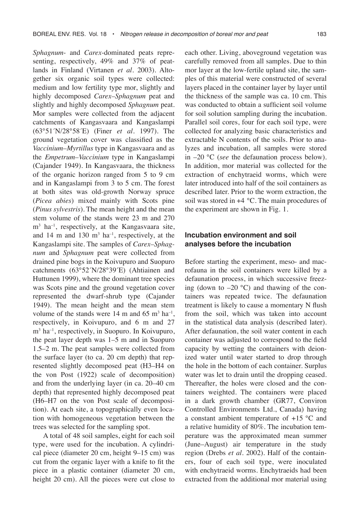*Sphagnum*- and *Carex*-dominated peats representing, respectively, 49% and 37% of peatlands in Finland (Virtanen *et al.* 2003). Altogether six organic soil types were collected: medium and low fertility type mor, slightly and highly decomposed *Carex–Sphagnum* peat and slightly and highly decomposed *Sphagnum* peat. Mor samples were collected from the adjacent catchments of Kangasvaara and Kangaslampi (63°51´N/28°58´E) (Finer *et al.* 1997). The ground vegetation cover was classified as the *Vaccinium–Myrtillus* type in Kangasvaara and as the *Empetrum–Vaccinium* type in Kangaslampi (Cajander 1949). In Kangasvaara, the thickness of the organic horizon ranged from 5 to 9 cm and in Kangaslampi from 3 to 5 cm. The forest at both sites was old-growth Norway spruce (*Picea abies*) mixed mainly with Scots pine (*Pinus sylvestris*). The mean height and the mean stem volume of the stands were 23 m and 270 m3 ha–1, respectively, at the Kangasvaara site, and 14 m and 130  $m<sup>3</sup>$  ha<sup>-1</sup>, respectively, at the Kangaslampi site. The samples of *Carex–Sphagnum* and *Sphagnum* peat were collected from drained pine bogs in the Koivupuro and Suopuro catchments (63°52´N/28°39´E) (Ahtiainen and Huttunen 1999), where the dominant tree species was Scots pine and the ground vegetation cover represented the dwarf-shrub type (Cajander 1949). The mean height and the mean stem volume of the stands were 14 m and 65  $m^3$  ha<sup>-1</sup>, respectively, in Koivupuro, and 6 m and 27 m3 ha–1, respectively, in Suopuro. In Koivupuro, the peat layer depth was 1–5 m and in Suopuro 1.5–2 m. The peat samples were collected from the surface layer (to ca. 20 cm depth) that represented slightly decomposed peat (H3–H4 on the von Post (1922) scale of decomposition) and from the underlying layer (in ca. 20–40 cm depth) that represented highly decomposed peat (H6–H7 on the von Post scale of decomposition). At each site, a topographically even location with homogeneous vegetation between the trees was selected for the sampling spot.

A total of 48 soil samples, eight for each soil type, were used for the incubation. A cylindrical piece (diameter 20 cm, height 9–15 cm) was cut from the organic layer with a knife to fit the piece in a plastic container (diameter 20 cm, height 20 cm). All the pieces were cut close to

each other. Living, aboveground vegetation was carefully removed from all samples. Due to thin mor layer at the low-fertile upland site, the samples of this material were constructed of several layers placed in the container layer by layer until the thickness of the sample was ca. 10 cm. This was conducted to obtain a sufficient soil volume for soil solution sampling during the incubation. Parallel soil cores, four for each soil type, were collected for analyzing basic characteristics and extractable N contents of the soils. Prior to analyzes and incubation, all samples were stored in –20 °C (*see* the defaunation process below). In addition, mor material was collected for the extraction of enchytraeid worms, which were later introduced into half of the soil containers as described later. Prior to the worm extraction, the soil was stored in +4 °C. The main procedures of the experiment are shown in Fig. 1.

# **Incubation environment and soil analyses before the incubation**

Before starting the experiment, meso- and macrofauna in the soil containers were killed by a defaunation process, in which successive freezing (down to  $-20$  °C) and thawing of the containers was repeated twice. The defaunation treatment is likely to cause a momentary N flush from the soil, which was taken into account in the statistical data analysis (described later). After defaunation, the soil water content in each container was adjusted to correspond to the field capacity by wetting the containers with deionized water until water started to drop through the hole in the bottom of each container. Surplus water was let to drain until the dropping ceased. Thereafter, the holes were closed and the containers weighted. The containers were placed in a dark growth chamber (GR77, Conviron Controlled Environments Ltd., Canada) having a constant ambient temperature of +15 °C and a relative humidity of 80%. The incubation temperature was the approximated mean summer (June–August) air temperature in the study region (Drebs *et al.* 2002). Half of the containers, four of each soil type, were inoculated with enchytraeid worms. Enchytraeids had been extracted from the additional mor material using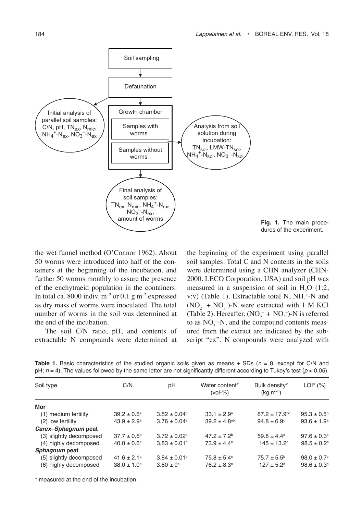

**Fig. 1.** The main procedures of the experiment.

the wet funnel method (O'Connor 1962). About 50 worms were introduced into half of the containers at the beginning of the incubation, and further 50 worms monthly to assure the presence of the enchytraeid population in the containers. In total ca. 8000 indiv.  $m^{-2}$  or 0.1 g  $m^{-2}$  expressed as dry mass of worms were inoculated. The total number of worms in the soil was determined at the end of the incubation.

The soil C/N ratio, pH, and contents of extractable N compounds were determined at

the beginning of the experiment using parallel soil samples. Total C and N contents in the soils were determined using a CHN analyzer (CHN-2000, LECO Corporation, USA) and soil pH was measured in a suspension of soil in  $H_2O$  (1:2, v:v) (Table 1). Extractable total N,  $NH_4^+$ -N and  $(NO<sub>2</sub><sup>-</sup> + NO<sub>3</sub><sup>-</sup>)$ -N were extracted with 1 M KCl (Table 2). Hereafter,  $(NO<sub>2</sub><sup>-</sup> + NO<sub>3</sub><sup>-</sup>)$ -N is referred to as  $NO_3^-$ -N, and the compound contents measured from the extract are indicated by the subscript "ex". N compounds were analyzed with

| Soil type               | C/N                         | рH                           | Water content*<br>$(vol-% )$ | Bulk density*<br>$(kq \, m^{-3})$ | $LOI^*$ (%)                 |
|-------------------------|-----------------------------|------------------------------|------------------------------|-----------------------------------|-----------------------------|
| Mor                     |                             |                              |                              |                                   |                             |
| (1) medium fertility    | $39.2 \pm 0.6^a$            | $3.82 \pm 0.04^b$            | $33.1 \pm 2.9^a$             | $87.2 \pm 17.9$ <sup>bc</sup>     | $95.3 \pm 0.5^{\circ}$      |
| (2) low fertility       | $43.9 \pm 2.9^{\circ}$      | $3.76 \pm 0.04$ <sup>a</sup> | $39.2 \pm 4.8$ <sup>ab</sup> | $94.8 \pm 6.9^{\circ}$            | $93.6 \pm 1.9^a$            |
| Carex-Sphagnum peat     |                             |                              |                              |                                   |                             |
| (3) slightly decomposed | $37.7 \pm 0.6^a$            | $3.72 \pm 0.02^a$            | $47.2 + 7.2$ <sup>b</sup>    | $59.8 \pm 4.4^a$                  | $97.6 \pm 0.3$ <sup>c</sup> |
| (4) highly decomposed   | $40.0 \pm 0.6^a$            | $3.83 \pm 0.01^{\circ}$      | $73.9 \pm 4.4^{\circ}$       | $145 \pm 13.2$ <sup>e</sup>       | $98.5 \pm 0.2$ <sup>c</sup> |
| <i>Sphagnum</i> peat    |                             |                              |                              |                                   |                             |
| (5) slightly decomposed | $41.6 \pm 2.1$ <sup>a</sup> | $3.84 \pm 0.01^b$            | $75.8 \pm 5.4^{\circ}$       | $75.7 \pm 5.5^{\circ}$            | $98.0 \pm 0.7$ °            |
| (6) highly decomposed   | $38.0 \pm 1.0^a$            | $3.80 \pm 0^{6}$             | $76.2 \pm 8.3$ °             | $127 \pm 5.2$ <sup>d</sup>        | $98.6 \pm 0.3$ °            |

**Table 1.** Basic characteristics of the studied organic soils given as means  $\pm$  SDs ( $n = 8$ , except for C/N and pH;  $n = 4$ ). The values followed by the same letter are not significantly different according to Tukey's test ( $p < 0.05$ ).

\* measured at the end of the incubation.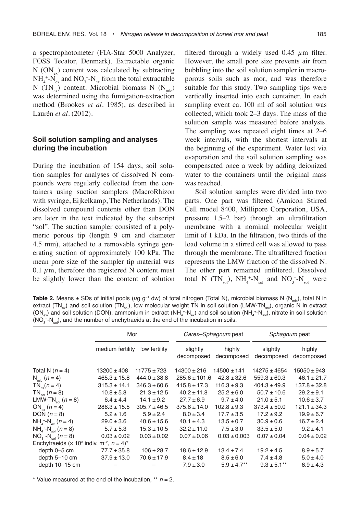a spectrophotometer (FIA-Star 5000 Analyzer, FOSS Tecator, Denmark). Extractable organic N  $(ON_{\alpha})$  content was calculated by subtracting  $NH_4^{\,+}N_{ex}$  and  $NO_3^{\,-}N_{ex}$  from the total extractable N (TN<sub>ex</sub>) content. Microbial biomass N (N<sub>mic</sub>) was determined using the fumigation-extraction method (Brookes *et al.* 1985), as described in Laurén *et al.* (2012).

### **Soil solution sampling and analyses during the incubation**

During the incubation of 154 days, soil solution samples for analyses of dissolved N compounds were regularly collected from the containers using suction samplers (MacroRhizon with syringe, Eijkelkamp, The Netherlands). The dissolved compound contents other than DON are later in the text indicated by the subscript "sol". The suction sampler consisted of a polymeric porous tip (length 9 cm and diameter 4.5 mm), attached to a removable syringe generating suction of approximately 100 kPa. The mean pore size of the sampler tip material was 0.1  $\mu$ m, therefore the registered N content must be slightly lower than the content of solution filtered through a widely used 0.45  $\mu$ m filter. However, the small pore size prevents air from bubbling into the soil solution sampler in macroporous soils such as mor, and was therefore suitable for this study. Two sampling tips were vertically inserted into each container. In each sampling event ca. 100 ml of soil solution was collected, which took 2–3 days. The mass of the solution sample was measured before analysis. The sampling was repeated eight times at 2–6 week intervals, with the shortest intervals at the beginning of the experiment. Water lost via evaporation and the soil solution sampling was compensated once a week by adding deionized water to the containers until the original mass was reached.

Soil solution samples were divided into two parts. One part was filtered (Amicon Stirred Cell model 8400, Millipore Corporation, USA, pressure 1.5–2 bar) through an ultrafiltration membrane with a nominal molecular weight limit of 1 kDa. In the filtration, two thirds of the load volume in a stirred cell was allowed to pass through the membrane. The ultrafiltered fraction represents the LMW fraction of the dissolved N. The other part remained unfiltered. Dissolved total N  $(TN_{sol})$ ,  $NH_4^{\,+1}N_{sol}$  and  $NO_3^{\,-1}N_{sol}$  were

**Table 2.** Means  $\pm$  SDs of initial pools ( $\mu$ g g<sup>-1</sup> dw) of total nitrogen (Total N), microbial biomass N (N<sub>mic</sub>), total N in extract (TN<sub>ex</sub>) and soil solution (TN<sub>exi</sub>), low molecular weight TN in soil solution (LMW-TN<sub>exi</sub>), organic N in extract (ON<sub>ex</sub>) and soil solution (DON), ammonium in extract (NH<sub>4</sub>\*-N<sub>ex</sub>) and soil solution (NH<sub>4</sub>\*-N<sub>sol</sub>), nitrate in soil solution ( $NO<sub>3</sub>$ - $N<sub>sol</sub>$ ), and the number of enchytraeids at the end of the incubation in soils.

|                                                                                         | Mor              |                  | Carex-Sphagnum peat    |                      | Sphagnum peat          |                      |
|-----------------------------------------------------------------------------------------|------------------|------------------|------------------------|----------------------|------------------------|----------------------|
|                                                                                         | medium fertility | low fertility    | slightly<br>decomposed | highly<br>decomposed | slightly<br>decomposed | highly<br>decomposed |
| Total N $(n = 4)$                                                                       | $13200 \pm 408$  | $11775 \pm 723$  | $14300 \pm 216$        | $14500 \pm 141$      | $14275 \pm 4654$       | $15050 \pm 943$      |
| $N_{\text{min}}$ ( <i>n</i> = 4)                                                        | $465.3 \pm 15.8$ | $444.0 \pm 38.8$ | $285.6 \pm 101.6$      | $42.8 \pm 32.6$      | $559.3 \pm 60.3$       | $46.1 \pm 21.7$      |
| $TN_{\infty}(n=4)$                                                                      | $315.3 \pm 14.1$ | $346.3 \pm 60.6$ | $415.8 \pm 17.3$       | $116.3 \pm 9.3$      | $404.3 \pm 49.9$       | $137.8 \pm 32.8$     |
| $TN_{\text{rel}}$ ( <i>n</i> = 8)                                                       | $10.8 \pm 5.8$   | $21.3 \pm 12.5$  | $40.2 \pm 11.8$        | $25.2 \pm 6.0$       | $50.7 \pm 10.6$        | $29.2 \pm 9.1$       |
| LMW-TN <sub>sol</sub> $(n = 8)$                                                         | $6.4 \pm 4.4$    | $14.1 \pm 9.2$   | $27.7 \pm 6.9$         | $9.7 \pm 4.0$        | $21.0 \pm 5.1$         | $10.6 \pm 3.7$       |
| $ON_{\text{av}} (n = 4)$                                                                | $286.3 \pm 15.5$ | $305.7 \pm 46.5$ | $375.6 \pm 14.0$       | $102.8 \pm 9.3$      | $373.4 \pm 50.0$       | $121.1 \pm 34.3$     |
| DON $(n=8)$                                                                             | $5.2 \pm 1.6$    | $5.9 \pm 2.4$    | $8.0 \pm 3.4$          | $17.7 \pm 3.5$       | $17.2 \pm 9.2$         | $19.9 \pm 6.7$       |
| $NH_{4}^{+}$ -N <sub>ox</sub> ( <i>n</i> = 4)                                           | $29.0 \pm 3.6$   | $40.6 \pm 15.6$  | $40.1 \pm 4.3$         | $13.5 \pm 0.7$       | $30.9 \pm 0.6$         | $16.7 \pm 2.4$       |
| $NH_{4}^{+}$ -N <sub>col</sub> $(n = 8)$                                                | $5.7 \pm 5.3$    | $15.3 \pm 10.5$  | $32.2 \pm 11.0$        | $7.5 \pm 3.0$        | $33.5 \pm 5.0$         | $9.2 \pm 4.1$        |
| $NO3 - Nsol$ (n = 8)                                                                    | $0.03 \pm 0.02$  | $0.03 \pm 0.02$  | $0.07 \pm 0.06$        | $0.03 \pm 0.003$     | $0.07 \pm 0.04$        | $0.04 \pm 0.02$      |
| Enchytraeids ( $\times$ 10 <sup>3</sup> indiv. m <sup>-2</sup> , $n = 4$ ) <sup>*</sup> |                  |                  |                        |                      |                        |                      |
| depth 0-5 cm                                                                            | $77.7 \pm 35.8$  | $106 \pm 28.7$   | $18.6 \pm 12.9$        | $13.4 \pm 7.4$       | $19.2 \pm 4.5$         | $8.9 \pm 5.7$        |
| depth 5-10 cm                                                                           | $37.9 \pm 13.0$  | $70.6 \pm 17.9$  | $8.4 \pm 18$           | $8.5 \pm 6.0$        | $7.4 \pm 4.8$          | $5.0 \pm 4.0$        |
| depth 10-15 cm                                                                          |                  |                  | $7.9 \pm 3.0$          | $5.9 \pm 4.7***$     | $9.3 \pm 5.1***$       | $6.9 \pm 4.3$        |

\* Value measured at the end of the incubation,  $** n = 2$ .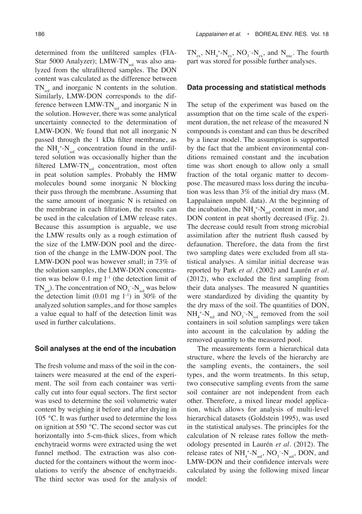determined from the unfiltered samples (FIA-Star 5000 Analyzer); LMW-TNsol was also analyzed from the ultrafiltered samples. The DON content was calculated as the difference between  $TN_{\text{rel}}$  and inorganic N contents in the solution. Similarly, LMW-DON corresponds to the difference between  $LMW-TN_{sol}$  and inorganic N in the solution. However, there was some analytical uncertainty connected to the determination of LMW-DON. We found that not all inorganic N passed through the 1 kDa filter membrane, as the  $NH_4^+$ - $N_{sol}$  concentration found in the unfiltered solution was occasionally higher than the filtered LMW-TN $_{sol}$  concentration, most often in peat solution samples. Probably the HMW molecules bound some inorganic N blocking their pass through the membrane. Assuming that the same amount of inorganic N is retained on the membrane in each filtration, the results can be used in the calculation of LMW release rates. Because this assumption is arguable, we use the LMW results only as a rough estimation of the size of the LMW-DON pool and the direction of the change in the LMW-DON pool. The LMW-DON pool was however small; in 73% of the solution samples, the LMW-DON concentration was below 0.1 mg  $l^{-1}$  (the detection limit of  $TN_{sol}$ ). The concentration of  $NO_3^-$ - $N_{sol}$  was below the detection limit  $(0.01 \text{ mg } l^{-1})$  in 30% of the analyzed solution samples, and for those samples a value equal to half of the detection limit was used in further calculations.

#### **Soil analyses at the end of the incubation**

The fresh volume and mass of the soil in the containers were measured at the end of the experiment. The soil from each container was vertically cut into four equal sectors. The first sector was used to determine the soil volumetric water content by weighing it before and after drying in 105 °C. It was further used to determine the loss on ignition at 550 °C. The second sector was cut horizontally into 5-cm-thick slices, from which enchytraeid worms were extracted using the wet funnel method. The extraction was also conducted for the containers without the worm inoculations to verify the absence of enchytraeids. The third sector was used for the analysis of  $TN_{ex}$ ,  $NH_4^{\,+1}N_{ex}$ ,  $NO_3^{\,-1}N_{ex}$ , and  $N_{mic}$ . The fourth part was stored for possible further analyses.

#### **Data processing and statistical methods**

The setup of the experiment was based on the assumption that on the time scale of the experiment duration, the net release of the measured N compounds is constant and can thus be described by a linear model. The assumption is supported by the fact that the ambient environmental conditions remained constant and the incubation time was short enough to allow only a small fraction of the total organic matter to decompose. The measured mass loss during the incubation was less than 3% of the initial dry mass (M. Lappalainen unpubl. data). At the beginning of the incubation, the  $NH_4^+$ - $N_{sol}$  content in mor, and DON content in peat shortly decreased (Fig. 2). The decrease could result from strong microbial assimilation after the nutrient flush caused by defaunation. Therefore, the data from the first two sampling dates were excluded from all statistical analyses. A similar initial decrease was reported by Park *et al.* (2002) and Laurén *et al.* (2012), who excluded the first sampling from their data analyses. The measured N quantities were standardized by dividing the quantity by the dry mass of the soil. The quantities of DON,  $NH_4^{\,+}\text{-}N_{sol}$  and  $NO_3^{\,-}\text{-}N_{sol}$  removed from the soil containers in soil solution samplings were taken into account in the calculation by adding the removed quantity to the measured pool.

The measurements form a hierarchical data structure, where the levels of the hierarchy are the sampling events, the containers, the soil types, and the worm treatments. In this setup, two consecutive sampling events from the same soil container are not independent from each other. Therefore, a mixed linear model application, which allows for analysis of multi-level hierarchical datasets (Goldstein 1995), was used in the statistical analyses. The principles for the calculation of N release rates follow the methodology presented in Laurén *et al.* (2012). The release rates of  $NH_4^{\,+}N_{\rm sol}$ ,  $NO_3^{\,-}N_{\rm sol}$ , DON, and LMW-DON and their confidence intervals were calculated by using the following mixed linear model: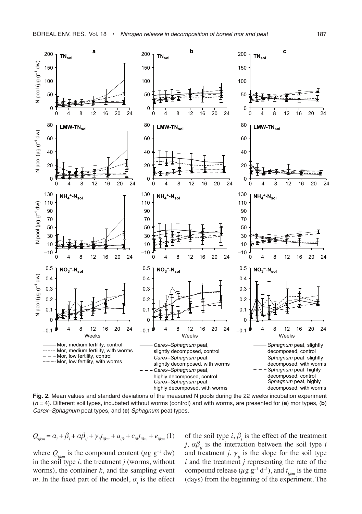

**Fig. 2.** Mean values and standard deviations of the measured N pools during the 22 weeks incubation experiment  $(n = 4)$ . Different soil types, incubated without worms (control) and with worms, are presented for (**a**) mor types, (**b**) Carex–Sphagnum peat types, and (**c**) Sphagnum peat types.

$$
Q_{ijkm} = \alpha_i + \beta_j + \alpha\beta_{ij} + \gamma_{ij}t_{ijkm} + a_{ijk} + c_{ijk}t_{ijkm} + e_{ijkm}(1)
$$

where  $Q_{ijkm}$  is the compound content ( $\mu$ g g<sup>-1</sup> dw) in the soil type *i*, the treatment *j* (worms, without worms), the container  $k$ , and the sampling event *m*. In the fixed part of the model,  $\alpha$ <sub>i</sub> is the effect

of the soil type  $i, \beta_j$  is the effect of the treatment *j*,  $\alpha\beta$ <sub>*ii*</sub> is the interaction between the soil type *i* and treatment *j*,  $\gamma_{ii}$  is the slope for the soil type *i* and the treatment *j* representing the rate of the compound release ( $\mu$  g g<sup>-1</sup> d<sup>-1</sup>), and  $t_{ijkm}$  is the time (days) from the beginning of the experiment. The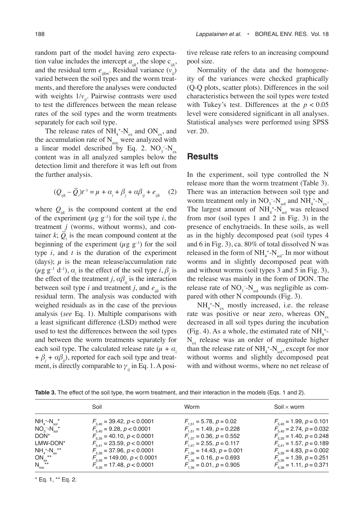random part of the model having zero expectation value includes the intercept  $a_{ijk}$ , the slope  $c_{ijk}$ , and the residual term  $e_{ijkm}$ . Residual variance  $(v_{ij}^{\prime})$ varied between the soil types and the worm treatments, and therefore the analyses were conducted with weights  $1/v_{ii}$ . Pairwise contrasts were used to test the differences between the mean release rates of the soil types and the worm treatments separately for each soil type.

The release rates of  $NH_4^{\,+}N_{ex}$  and  $ON_{ex}$ , and the accumulation rate of  $N_{\text{mic}}$  were analyzed with a linear model described by Eq. 2.  $NO_3^-N_{ex}$ content was in all analyzed samples below the detection limit and therefore it was left out from the further analysis.

$$
(Q_{ijk} - \overline{Q}_i)t^{-1} = \mu + \alpha_i + \beta_j + \alpha\beta_{ij} + e_{ijk} \quad (2)
$$

where  $Q_{ijk}$  is the compound content at the end of the experiment  $(\mu g g^{-1})$  for the soil type *i*, the treatment *j* (worms, without worms), and container  $k$ ;  $Q_i$  is the mean compound content at the beginning of the experiment ( $\mu$ g g<sup>-1</sup>) for the soil type *i*, and *t* is the duration of the experiment (days);  $\mu$  is the mean release/accumulation rate  $(\mu g g^{-1} d^{-1}), \alpha_i$  is the effect of the soil type  $i, \beta_j$  is the effect of the treatment *j*,  $\alpha\beta$ <sub>*ii*</sub> is the interaction between soil type  $i$  and treatment  $j$ , and  $e_{ijk}$  is the residual term. The analysis was conducted with weighed residuals as in the case of the previous analysis (*see* Eq. 1). Multiple comparisons with a least significant difference (LSD) method were used to test the differences between the soil types and between the worm treatments separately for each soil type. The calculated release rate  $(\mu + \alpha)$  $+ \beta_j + \alpha \beta_{ij}$ , reported for each soil type and treatment, is directly comparable to  $\gamma$ <sub>*ii*</sub> in Eq. 1. A positive release rate refers to an increasing compound pool size.

Normality of the data and the homogeneity of the variances were checked graphically (Q-Q plots, scatter plots). Differences in the soil characteristics between the soil types were tested with Tukey's test. Differences at the  $p < 0.05$ level were considered significant in all analyses. Statistical analyses were performed using SPSS ver. 20.

# **Results**

In the experiment, soil type controlled the N release more than the worm treatment (Table 3). There was an interaction between soil type and worm treatment only in  $NO_3^-$ - $N_{sol}$  and  $NH_4^+$ - $N_{ex}$ . The largest amount of  $NH_4^+$ - $N_{sol}$  was released from mor (soil types 1 and 2 in Fig. 3) in the presence of enchytraeids. In these soils, as well as in the highly decomposed peat (soil types 4 and 6 in Fig. 3), ca. 80% of total dissolved N was released in the form of  $NH_4^{\,+}N_{sol}$ . In mor without worms and in slightly decomposed peat with and without worms (soil types 3 and 5 in Fig. 3), the release was mainly in the form of DON. The release rate of  $NO<sub>3</sub>$ - $N<sub>sol</sub>$  was negligible as compared with other N compounds (Fig. 3).

 $NH_4^{\,+}N_{\rm ex}$  mostly increased, i.e. the release rate was positive or near zero, whereas  $ON_{ex}$ decreased in all soil types during the incubation (Fig. 4). As a whole, the estimated rate of  $NH_4$ <sup>+</sup>- $N_{ex}$  release was an order of magnitude higher than the release rate of  $NH_4^{\,+}N_{\rm sol}$ , except for mor without worms and slightly decomposed peat with and without worms, where no net release of

**Table 3.** The effect of the soil type, the worm treatment, and their interaction in the models (Eqs. 1 and 2).

|                                     | Soil                             | Worm                            | Soil $\times$ worm                 |
|-------------------------------------|----------------------------------|---------------------------------|------------------------------------|
| $NH_{4}^{+}$ - $N_{\text{sol}}^{*}$ | $F_{5,40} = 39.42, p < 0.0001$   | $F_{1,51} = 5.78, p = 0.02$     | $F_{5,40} = 1.99, p = 0.101$       |
| $NO3 - Nsol$ <sup>*</sup>           | $F_{5.40} = 9.28, p < 0.0001$    | $F_{1.51} = 1.49, p = 0.228$    | $F_{5,40} = 2.74$ , $p = 0.032$    |
| DON*                                | $F_{5,35} = 40.10, p < 0.0001$   | $F_{1,37} = 0.36, p = 0.552$    | $F_{5,35} = 1.40, p = 0.248$       |
| LMW-DON*                            | $F_{5,41} = 23.59, p < 0.0001$   | $F_{1.47} = 2.55, p = 0.117$    | $F_{5,41} = 1.57, p = 0.189$       |
| $NH_4^+ - N_{ex}^*$                 | $F_{5.36}$ = 37.96, $p < 0.0001$ | $F_{1.36}$ = 14.43, $p = 0.001$ | $F_{\rm 5.36}$ = 4.83, $p$ = 0.002 |
| $ON_{ex}^{\star\star}$              | $F_{5,36} = 149.00, p < 0.0001$  | $F_{1,36} = 0.16, p = 0.693$    | $F_{5,36} = 1.39, p = 0.251$       |
| $N_{\text{mic}}$ **                 | $F_{5,36}$ = 17.48, $p < 0.0001$ | $F_{1.36} = 0.01, p = 0.905$    | $F_{5,36} = 1.11, p = 0.371$       |

\* Eq. 1, \*\* Eq. 2.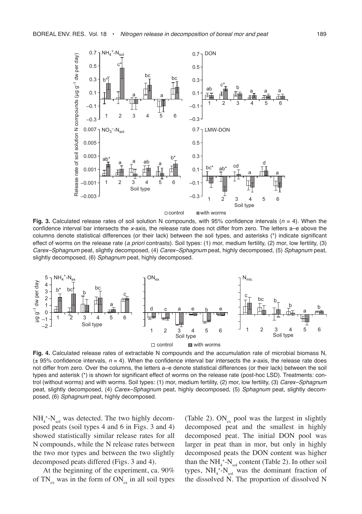

**Fig. 3.** Calculated release rates of soil solution N compounds, with 95% confidence intervals  $(n = 4)$ . When the confidence interval bar intersects the x-axis, the release rate does not differ from zero. The letters a-e above the columns denote statistical differences (or their lack) between the soil types, and asterisks (\*) indicate significant effect of worms on the release rate (a priori contrasts). Soil types: (1) mor, medium fertility, (2) mor, low fertility, (3) Carex–Sphagnum peat, slightly decomposed, (4) Carex–Sphagnum peat, highly decomposed, (5) Sphagnum peat, slightly decomposed, (6) Sphagnum peat, highly decomposed.



**Fig. 4.** Calculated release rates of extractable N compounds and the accumulation rate of microbial biomass N, ( $\pm$  95% confidence intervals,  $n = 4$ ). When the confidence interval bar intersects the x-axis, the release rate does not differ from zero. Over the columns, the letters a–e denote statistical differences (or their lack) between the soil types and asterisk (\*) is shown for significant effect of worms on the release rate (post-hoc LSD). Treatments: control (without worms) and with worms. Soil types: (1) mor, medium fertility, (2) mor, low fertility, (3) Carex–Sphagnum peat, slightly decomposed, (4) Carex-Sphagnum peat, highly decomposed, (5) Sphagnum peat, slightly decomposed, (6) Sphagnum peat, highly decomposed.

 $NH_4^{\,+}N_{sol}$  was detected. The two highly decomposed peats (soil types 4 and 6 in Figs. 3 and 4) showed statistically similar release rates for all N compounds, while the N release rates between the two mor types and between the two slightly decomposed peats differed (Figs. 3 and 4).

At the beginning of the experiment, ca. 90% of  $TN_{ex}$  was in the form of  $ON_{ex}$  in all soil types (Table 2).  $ON_{ex}$  pool was the largest in slightly decomposed peat and the smallest in highly decomposed peat. The initial DON pool was larger in peat than in mor, but only in highly decomposed peats the DON content was higher than the  $NH_4^{\,+}N_{sol}$  content (Table 2). In other soil types,  $NH_4^+$ - $N_{sol}$  was the dominant fraction of the dissolved N. The proportion of dissolved N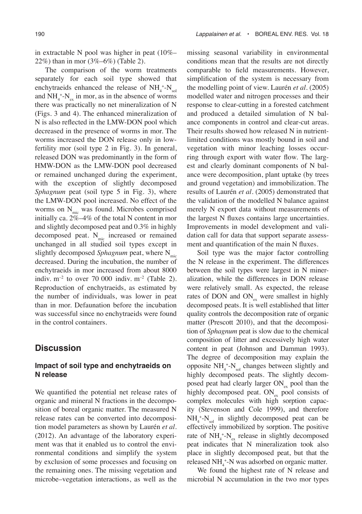in extractable N pool was higher in peat (10%– 22%) than in mor (3%–6%) (Table 2).

The comparison of the worm treatments separately for each soil type showed that enchytraeids enhanced the release of  $NH_4^{\,+}N_{\rm sol}$ and  $NH_4^+$ - $N_{ex}$  in mor, as in the absence of worms there was practically no net mineralization of N (Figs. 3 and 4). The enhanced mineralization of N is also reflected in the LMW-DON pool which decreased in the presence of worms in mor. The worms increased the DON release only in lowfertility mor (soil type 2 in Fig. 3). In general, released DON was predominantly in the form of HMW-DON as the LMW-DON pool decreased or remained unchanged during the experiment, with the exception of slightly decomposed *Sphagnum* peat (soil type 5 in Fig. 3), where the LMW-DON pool increased. No effect of the worms on  $N<sub>mic</sub>$  was found. Microbes comprised initially ca. 2%–4% of the total N content in mor and slightly decomposed peat and 0.3% in highly decomposed peat.  $N_{\text{mic}}$  increased or remained unchanged in all studied soil types except in slightly decomposed *Sphagnum* peat, where N<sub>mic</sub> decreased. During the incubation, the number of enchytraeids in mor increased from about 8000 indiv.  $m^{-2}$  to over 70 000 indiv.  $m^{-2}$  (Table 2). Reproduction of enchytraeids, as estimated by the number of individuals, was lower in peat than in mor. Defaunation before the incubation was successful since no enchytraeids were found in the control containers.

# **Discussion**

# **Impact of soil type and enchytraeids on N release**

We quantified the potential net release rates of organic and mineral N fractions in the decomposition of boreal organic matter. The measured N release rates can be converted into decomposition model parameters as shown by Laurén *et al*. (2012). An advantage of the laboratory experiment was that it enabled us to control the environmental conditions and simplify the system by exclusion of some processes and focusing on the remaining ones. The missing vegetation and microbe–vegetation interactions, as well as the missing seasonal variability in environmental conditions mean that the results are not directly comparable to field measurements. However, simplification of the system is necessary from the modelling point of view. Laurén *et al*. (2005) modelled water and nitrogen processes and their response to clear-cutting in a forested catchment and produced a detailed simulation of N balance components in control and clear-cut areas. Their results showed how released N in nutrientlimited conditions was mostly bound in soil and vegetation with minor leaching losses occurring through export with water flow. The largest and clearly dominant components of N balance were decomposition, plant uptake (by trees and ground vegetation) and immobilization. The results of Laurén *et al*. (2005) demonstrated that the validation of the modelled N balance against merely N export data without measurements of the largest N fluxes contains large uncertainties. Improvements in model development and validation call for data that support separate assessment and quantification of the main N fluxes.

Soil type was the major factor controlling the N release in the experiment. The differences between the soil types were largest in N mineralization, while the differences in DON release were relatively small. As expected, the release rates of DON and  $ON_{ex}$  were smallest in highly decomposed peats. It is well established that litter quality controls the decomposition rate of organic matter (Prescott 2010), and that the decomposition of *Sphagnum* peat is slow due to the chemical composition of litter and excessively high water content in peat (Johnson and Damman 1993). The degree of decomposition may explain the opposite  $NH_4^+$ - $N_{sol}$  changes between slightly and highly decomposed peats. The slightly decomposed peat had clearly larger  $ON_{\alpha x}$  pool than the highly decomposed peat.  $ON_{ex}$  pool consists of complex molecules with high sorption capacity (Stevenson and Cole 1999), and therefore  $NH_4^{\,+}$ - $N_{sol}$  in slightly decomposed peat can be effectively immobilized by sorption. The positive rate of  $NH_4^+$ - $N_{ex}$  release in slightly decomposed peat indicates that N mineralization took also place in slightly decomposed peat, but that the released NH<sub>4</sub><sup>+</sup>-N was adsorbed on organic matter.

We found the highest rate of N release and microbial N accumulation in the two mor types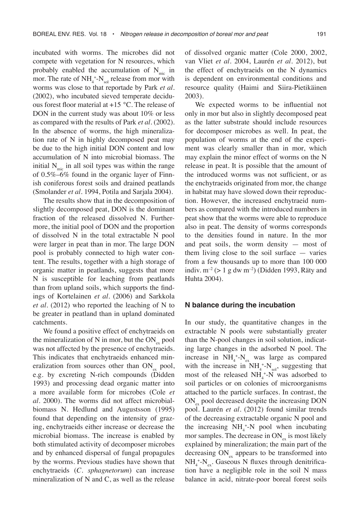incubated with worms. The microbes did not compete with vegetation for N resources, which probably enabled the accumulation of  $N_{\text{mic}}$  in mor. The rate of  $NH_4^+$ - $N_{sol}$  release from mor with worms was close to that reportade by Park *et al.* (2002), who incubated sieved temperate deciduous forest floor material at +15 °C. The release of DON in the current study was about 10% or less as compared with the results of Park *et al.* (2002). In the absence of worms, the high mineralization rate of N in highly decomposed peat may be due to the high initial DON content and low accumulation of N into microbial biomass. The initial  $N<sub>mic</sub>$  in all soil types was within the range of 0.5%–6% found in the organic layer of Finnish coniferous forest soils and drained peatlands (Smolander *et al.* 1994, Potila and Sarjala 2004).

The results show that in the decomposition of slightly decomposed peat, DON is the dominant fraction of the released dissolved N. Furthermore, the initial pool of DON and the proportion of dissolved N in the total extractable N pool were larger in peat than in mor. The large DON pool is probably connected to high water content. The results, together with a high storage of organic matter in peatlands, suggests that more N is susceptible for leaching from peatlands than from upland soils, which supports the findings of Kortelainen *et al.* (2006) and Sarkkola *et al.* (2012) who reported the leaching of N to be greater in peatland than in upland dominated catchments.

We found a positive effect of enchytraeids on the mineralization of N in mor, but the  $ON_{ex}$  pool was not affected by the presence of enchytraeids. This indicates that enchytraeids enhanced mineralization from sources other than  $ON_{\alpha}$  pool, e.g. by excreting N-rich compounds (Didden 1993) and processing dead organic matter into a more available form for microbes (Cole *et al.* 2000). The worms did not affect microbialbiomass N. Hedlund and Augustsson (1995) found that depending on the intensity of grazing, enchytraeids either increase or decrease the microbial biomass. The increase is enabled by both stimulated activity of decomposer microbes and by enhanced dispersal of fungal propagules by the worms. Previous studies have shown that enchytraeids (*C. sphagnetorum*) can increase mineralization of N and C, as well as the release

of dissolved organic matter (Cole 2000, 2002, van Vliet *et al.* 2004, Laurén *et al.* 2012), but the effect of enchytraeids on the N dynamics is dependent on environmental conditions and resource quality (Haimi and Siira-Pietikäinen 2003).

We expected worms to be influential not only in mor but also in slightly decomposed peat as the latter substrate should include resources for decomposer microbes as well. In peat, the population of worms at the end of the experiment was clearly smaller than in mor, which may explain the minor effect of worms on the N release in peat. It is possible that the amount of the introduced worms was not sufficient, or as the enchytraeids originated from mor, the change in habitat may have slowed down their reproduction. However, the increased enchytraeid numbers as compared with the introduced numbers in peat show that the worms were able to reproduce also in peat. The density of worms corresponds to the densities found in nature. In the mor and peat soils, the worm density — most of them living close to the soil surface — varies from a few thousands up to more than 100 000 indiv.  $m^{-2}$  (> 1 g dw m<sup>-2</sup>) (Didden 1993, Räty and Huhta 2004).

#### **N balance during the incubation**

In our study, the quantitative changes in the extractable N pools were substantially greater than the N-pool changes in soil solution, indicating large changes in the adsorbed N pool. The increase in  $NH_4^+$ - $N_{ex}$  was large as compared with the increase in  $NH_4^+$ - $N_{sol}$ , suggesting that most of the released  $NH_4$ <sup>+</sup>-N was adsorbed to soil particles or on colonies of microorganisms attached to the particle surfaces. In contrast, the  $ON<sub>ex</sub>$  pool decreased despite the increasing DON pool. Laurén *et al.* (2012) found similar trends of the decreasing extractable organic N pool and the increasing  $NH_4^+$ -N pool when incubating mor samples. The decrease in  $ON_{\alpha x}$  is most likely explained by mineralization; the main part of the decreasing  $ON_{ex}$  appears to be transformed into  $NH_4^{\,+}N_{ex}$ . Gaseous N fluxes through denitrification have a negligible role in the soil N mass balance in acid, nitrate-poor boreal forest soils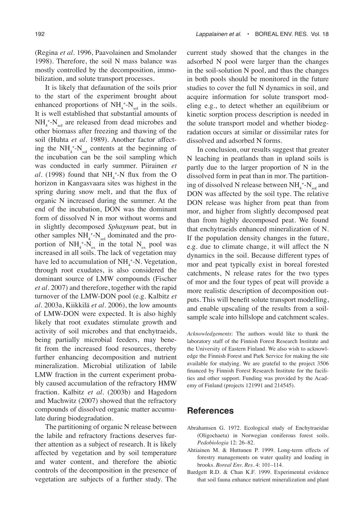(Regina *et al.* 1996, Paavolainen and Smolander 1998). Therefore, the soil N mass balance was mostly controlled by the decomposition, immobilization, and solute transport processes.

It is likely that defaunation of the soils prior to the start of the experiment brought about enhanced proportions of  $NH_4^+$ - $N_{sol}$  in the soils. It is well established that substantial amounts of  $NH_4^{\,+}$ - $N_{sol}$  are released from dead microbes and other biomass after freezing and thawing of the soil (Huhta *et al.* 1989). Another factor affecting the  $NH_4^+$ - $N_{sol}$  contents at the beginning of the incubation can be the soil sampling which was conducted in early summer. Piirainen *et al.* (1998) found that  $NH_4^{\,+}$ -N flux from the O horizon in Kangasvaara sites was highest in the spring during snow melt, and that the flux of organic N increased during the summer. At the end of the incubation, DON was the dominant form of dissolved N in mor without worms and in slightly decomposed *Sphagnum* peat, but in other samples  $NH_4^+$ - $N_{sol}$  dominated and the proportion of  $NH_4^+$ - $N_{ex}$  in the total  $N_{ex}$  pool was increased in all soils. The lack of vegetation may have led to accumulation of  $NH_4^+$ -N. Vegetation, through root exudates, is also considered the dominant source of LMW compounds (Fischer *et al.* 2007) and therefore, together with the rapid turnover of the LMW-DON pool (e.g. Kalbitz *et al.* 2003a, Kiikkilä *et al.* 2006), the low amounts of LMW-DON were expected. It is also highly likely that root exudates stimulate growth and activity of soil microbes and that enchytraeids, being partially microbial feeders, may benefit from the increased food resources, thereby further enhancing decomposition and nutrient mineralization. Microbial utilization of labile LMW fraction in the current experiment probably caused accumulation of the refractory HMW fraction. Kalbitz *et al.* (2003b) and Hagedorn and Machwitz (2007) showed that the refractory compounds of dissolved organic matter accumulate during biodegradation.

The partitioning of organic N release between the labile and refractory fractions deserves further attention as a subject of research. It is likely affected by vegetation and by soil temperature and water content, and therefore the abiotic controls of the decomposition in the presence of vegetation are subjects of a further study. The current study showed that the changes in the adsorbed N pool were larger than the changes in the soil-solution N pool, and thus the changes in both pools should be monitored in the future studies to cover the full N dynamics in soil, and acquire information for solute transport modeling e.g., to detect whether an equilibrium or kinetic sorption process description is needed in the solute transport model and whether biodegradation occurs at similar or dissimilar rates for dissolved and adsorbed N forms.

In conclusion, our results suggest that greater N leaching in peatlands than in upland soils is partly due to the larger proportion of N in the dissolved form in peat than in mor. The partitioning of dissolved N release between  $NH_4^{\,+}N_\mathrm{sol}$  and DON was affected by the soil type. The relative DON release was higher from peat than from mor, and higher from slightly decomposed peat than from highly decomposed peat. We found that enchytraeids enhanced mineralization of N. If the population density changes in the future, e.g. due to climate change, it will affect the N dynamics in the soil. Because different types of mor and peat typically exist in boreal forested catchments, N release rates for the two types of mor and the four types of peat will provide a more realistic description of decomposition outputs. This will benefit solute transport modelling, and enable upscaling of the results from a soilsample scale into hillslope and catchment scales.

*Acknowledgements*: The authors would like to thank the laboratory staff of the Finnish Forest Research Institute and the University of Eastern Finland. We also wish to acknowledge the Finnish Forest and Park Service for making the site available for studying. We are grateful to the project 3506 financed by Finnish Forest Research Institute for the facilities and other support. Funding was provided by the Academy of Finland (projects 121991 and 214545).

# **References**

- Abrahamsen G. 1972. Ecological study of Enchytraeidae (Oligochaeta) in Norwegian coniferous forest soils. *Pedobiologia* 12: 26–82.
- Ahtiainen M. & Huttunen P. 1999. Long-term effects of forestry managements on water quality and loading in brooks. *Boreal Env. Res.* 4: 101–114.
- Bardgett R.D. & Chan K.F. 1999. Experimental evidence that soil fauna enhance nutrient mineralization and plant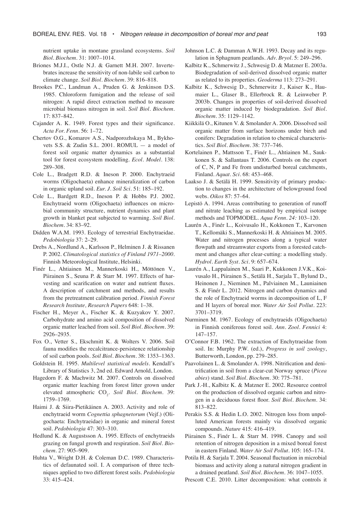nutrient uptake in montane grassland ecosystems. *Soil Biol. Biochem.* 31: 1007–1014.

- Briones M.J.I., Ostle N.J. & Garnett M.H. 2007. Invertebrates increase the sensitivity of non-labile soil carbon to climate change. *Soil Biol. Biochem.* 39: 816–818.
- Brookes P.C., Landman A., Pruden G. & Jenkinson D.S. 1985. Chloroform fumigation and the release of soil nitrogen: A rapid direct extraction method to measure microbial biomass nitrogen in soil. *Soil Biol. Biochem.* 17: 837–842.
- Cajander A. K. 1949. Forest types and their significance. *Acta For. Fenn.* 56: 1–72.
- Chertov O.G., Komarov A.S., Nadporozhskaya M., Bykhovets S.S. & Zudin S.L. 2001. ROMUL — a model of forest soil organic matter dynamics as a substantial tool for forest ecosystem modelling. *Ecol. Model.* 138: 289–308.
- Cole L., Bradgett R.D. & Ineson P. 2000. Enchytraeid worms (Oligochaeta) enhance mineralization of carbon in organic upland soil. *Eur. J. Soil Sci.* 51: 185–192.
- Cole L., Bardgett R.D., Ineson P. & Hobbs P.J. 2002. Enchytraeid worm (Oligochaeta) influences on microbial community structure, nutrient dynamics and plant growth in blanket peat subjected to warming. *Soil Biol. Biochem.* 34: 83–92.
- Didden W.A.M. 1993. Ecology of terrestrial Enchytraeidae. *Pedobiologia* 37: 2–29.
- Drebs A., Nordlund A., Karlsson P., Helminen J. & Rissanen P. 2002. *Climatological statistics of Finland 1971–2000*. Finnish Meteorological Institute, Helsinki.
- Finér L., Ahtiainen M., Mannerkoski H., Möttönen V., Piirainen S., Seuna P. & Starr M. 1997. Effects of harvesting and scarification on water and nutrient fluxes. A description of catchment and methods, and results from the pretreatment calibration period. *Finnish Forest Research Institute, Research Papers* 648: 1–38.
- Fischer H., Meyer A., Fischer K. & Kuzyakov Y. 2007. Carbohydrate and amino acid composition of dissolved organic matter leached from soil. *Soil Biol. Biochem*. 39: 2926–2935.
- Fox O., Vetter S., Ekschmitt K. & Wolters V. 2006. Soil fauna modifies the recalcitrance-persistence relationship of soil carbon pools. *Soil Biol. Biochem.* 38: 1353–1363.
- Goldstein H. 1995. *Multilevel statistical models*. Kendall's Library of Statistics 3, 2nd ed. Edward Arnold, London.
- Hagedorn F. & Machwitz M. 2007. Controls on dissolved organic matter leaching from forest litter grown under elevated atmospheric CO<sub>2</sub>. Soil Biol. Biochem. 39: 1759–1769.
- Haimi J. & Siira-Pietikäinen A. 2003. Activity and role of enchytraeid worm *Cognettia sphagnetorum* (Vejf.) (Oligochaeta: Enchytraeidae) in organic and mineral forest soil. *Pedobiologia* 47: 303–310.
- Hedlund K. & Augustsson A. 1995. Effects of enchytraeids grazing on fungal growth and respiration. *Soil Biol. Biochem.* 27: 905–909.
- Huhta V., Wright D.H. & Coleman D.C. 1989. Characteristics of defaunated soil. I. A comparison of three techniques applied to two different forest soils. *Pedobiologia* 33: 415–424.
- Johnson L.C. & Damman A.W.H. 1993. Decay and its regulation in Sphagnum peatlands. *Adv. Bryol.* 5: 249–296.
- Kalbitz K., Schmerwitz J., Schwesig D. & Matzner E. 2003a. Biodegradation of soil-derived dissolved organic matter as related to its properties. *Geoderma* 113: 273–291.
- Kalbitz K., Schwesig D., Schmerwitz J., Kaiser K., Haumaier L., Glaser B., Ellerbrock R. & Leinweber P. 2003b. Changes in properties of soil-derived dissolved organic matter induced by biodegradation. *Soil Biol. Biochem.* 35: 1129–1142.
- Kiikkilä O., Kitunen V. & Smolander A. 2006. Dissolved soil organic matter from surface horizons under birch and conifers: Degradation in relation to chemical characteristics. *Soil Biol. Biochem.* 38: 737–746.
- Kortelainen P., Mattsson T., Finér L., Ahtiainen M., Saukkonen S. & Sallantaus T. 2006. Controls on the export of C, N, P and Fe from undisturbed boreal catchments, Finland. *Aquat. Sci.* 68: 453–468.
- Laakso J. & Setälä H. 1999. Sensitivity of primary production to changes in the architecture of belowground food webs. *Oikos* 87: 57–64.
- Lepistö A. 1994. Areas contributing to generation of runoff and nitrate leaching as estimated by empirical isotope methods and TOPMODEL. *Aqua Fenn. 24:* 103–120.
- Laurén A., Finér L., Koivusalo H., Kokkonen T., Karvonen T., Kellomäki S., Mannerkoski H. & Ahtiainen M. 2005. Water and nitrogen processes along a typical water flowpath and streamwater exports from a forested catchment and changes after clear-cutting: a modelling study. *Hydrol. Earth Syst. Sci.* 9: 657–674.
- Laurén A., Lappalainen M., Saari P., Kukkonen J.V.K., Koivusalo H., Piirainen S., Setälä H., Sarjala T., Bylund D., Heinonen J., Nieminen M., Palviainen M., Launiainen S. & Finér L. 2012. Nitrogen and carbon dynamics and the role of Enchytraeid worms in decomposition of L, F and H layers of boreal mor. *Water Air Soil Pollut.* 223: 3701–3719.
- Nurminen M. 1967. Ecology of enchytraeids (Oligochaeta) in Finnish coniferous forest soil. *Ann. Zool. Fennici* 4: 147–157.
- O'Connor F.B. 1962. The extraction of Enchytraeidae from soil. In: Murphy P.W. (ed.), *Progress in soil zoology*, Butterworth, London, pp. 279–285.
- Paavolainen L. & Smolander A. 1998. Nitrification and denitrification in soil from a clear-cut Norway spruce (*Picea abies*) stand. *Soil Biol. Biochem.* 30: 775–781.
- Park J.-H., Kalbitz K. & Matzner E. 2002. Resource control on the production of dissolved organic carbon and nitrogen in a deciduous forest floor. *Soil Biol. Biochem.* 34: 813–822.
- Perakis S.S. & Hedin L.O. 2002. Nitrogen loss from unpolluted American forests mainly via dissolved organic compounds. *Nature* 415: 416–419.
- Piirainen S., Finér L. & Starr M. 1998. Canopy and soil retention of nitrogen deposition in a mixed boreal forest in eastern Finland. *Water Air Soil Pollut.* 105: 165–174.
- Potila H. & Sarjala T. 2004. Seasonal fluctuation in microbial biomass and activity along a natural nitrogen gradient in a drained peatland. *Soil Biol. Biochem.* 36: 1047–1055.
- Prescott C.E. 2010. Litter decomposition: what controls it